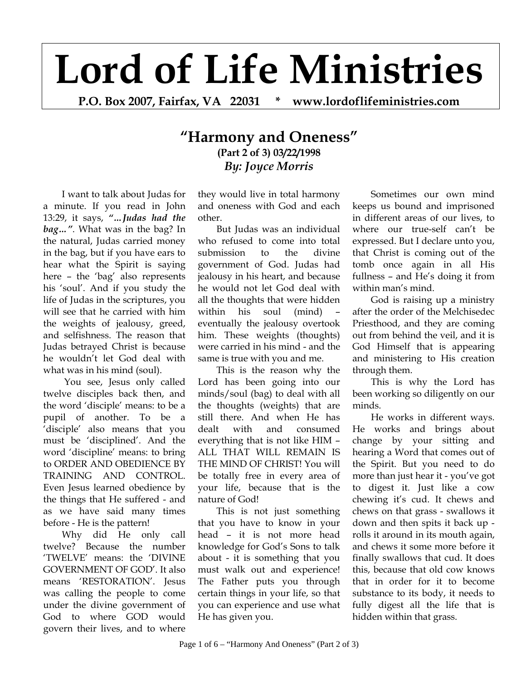## **Lord of Life Ministries**

**P.O. Box 2007, Fairfax, VA 22031 \* www.lordoflifeministries.com** 

## **"Harmony and Oneness" (Part 2 of 3) 03/22/1998**  *By: Joyce Morris*

I want to talk about Judas for a minute. If you read in John 13:29, it says, *"…Judas had the bag…"*. What was in the bag? In the natural, Judas carried money in the bag, but if you have ears to hear what the Spirit is saying here – the 'bag' also represents his 'soul'. And if you study the life of Judas in the scriptures, you will see that he carried with him the weights of jealousy, greed, and selfishness. The reason that Judas betrayed Christ is because he wouldn't let God deal with what was in his mind (soul).

 You see, Jesus only called twelve disciples back then, and the word 'disciple' means: to be a pupil of another. To be a 'disciple' also means that you must be 'disciplined'. And the word 'discipline' means: to bring to ORDER AND OBEDIENCE BY TRAINING AND CONTROL. Even Jesus learned obedience by the things that He suffered - and as we have said many times before - He is the pattern!

Why did He only call twelve? Because the number 'TWELVE' means: the 'DIVINE GOVERNMENT OF GOD'. It also means 'RESTORATION'. Jesus was calling the people to come under the divine government of God to where GOD would govern their lives, and to where

they would live in total harmony and oneness with God and each other.

But Judas was an individual who refused to come into total submission to the divine government of God. Judas had jealousy in his heart, and because he would not let God deal with all the thoughts that were hidden within his soul (mind) – eventually the jealousy overtook him. These weights (thoughts) were carried in his mind - and the same is true with you and me.

This is the reason why the Lord has been going into our minds/soul (bag) to deal with all the thoughts (weights) that are still there. And when He has dealt with and consumed everything that is not like HIM – ALL THAT WILL REMAIN IS THE MIND OF CHRIST! You will be totally free in every area of your life, because that is the nature of God!

This is not just something that you have to know in your head – it is not more head knowledge for God's Sons to talk about - it is something that you must walk out and experience! The Father puts you through certain things in your life, so that you can experience and use what He has given you.

Sometimes our own mind keeps us bound and imprisoned in different areas of our lives, to where our true-self can't be expressed. But I declare unto you, that Christ is coming out of the tomb once again in all His fullness – and He's doing it from within man's mind.

God is raising up a ministry after the order of the Melchisedec Priesthood, and they are coming out from behind the veil, and it is God Himself that is appearing and ministering to His creation through them.

This is why the Lord has been working so diligently on our minds.

He works in different ways. He works and brings about change by your sitting and hearing a Word that comes out of the Spirit. But you need to do more than just hear it - you've got to digest it. Just like a cow chewing it's cud. It chews and chews on that grass - swallows it down and then spits it back up rolls it around in its mouth again, and chews it some more before it finally swallows that cud. It does this, because that old cow knows that in order for it to become substance to its body, it needs to fully digest all the life that is hidden within that grass.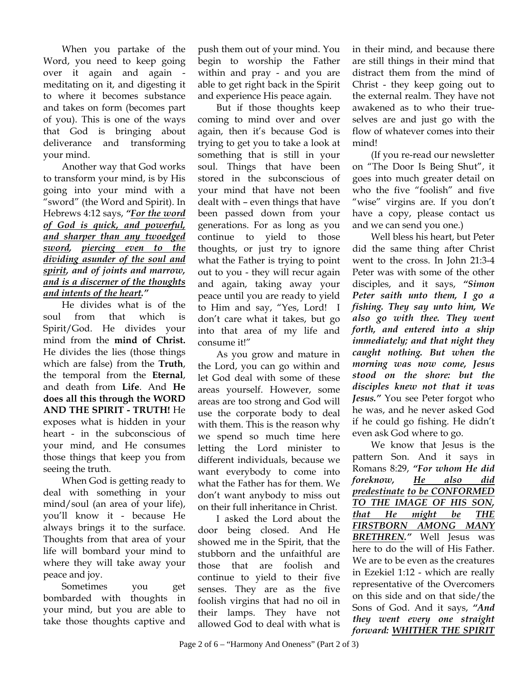When you partake of the Word, you need to keep going over it again and again meditating on it, and digesting it to where it becomes substance and takes on form (becomes part of you). This is one of the ways that God is bringing about deliverance and transforming your mind.

Another way that God works to transform your mind, is by His going into your mind with a "sword" (the Word and Spirit). In Hebrews 4:12 says, *"For the word of God is quick, and powerful, and sharper than any twoedged sword, piercing even to the dividing asunder of the soul and spirit, and of joints and marrow, and is a discerner of the thoughts and intents of the heart."* 

He divides what is of the soul from that which is Spirit/God. He divides your mind from the **mind of Christ.** He divides the lies (those things which are false) from the **Truth**, the temporal from the **Eternal**, and death from **Life**. And **He does all this through the WORD AND THE SPIRIT - TRUTH!** He exposes what is hidden in your heart - in the subconscious of your mind, and He consumes those things that keep you from seeing the truth.

When God is getting ready to deal with something in your mind/soul (an area of your life), you'll know it - because He always brings it to the surface. Thoughts from that area of your life will bombard your mind to where they will take away your peace and joy.

Sometimes you get bombarded with thoughts in your mind, but you are able to take those thoughts captive and

push them out of your mind. You begin to worship the Father within and pray - and you are able to get right back in the Spirit and experience His peace again.

But if those thoughts keep coming to mind over and over again, then it's because God is trying to get you to take a look at something that is still in your soul. Things that have been stored in the subconscious of your mind that have not been dealt with – even things that have been passed down from your generations. For as long as you continue to yield to those thoughts, or just try to ignore what the Father is trying to point out to you - they will recur again and again, taking away your peace until you are ready to yield to Him and say, "Yes, Lord! I don't care what it takes, but go into that area of my life and consume it!"

As you grow and mature in the Lord, you can go within and let God deal with some of these areas yourself. However, some areas are too strong and God will use the corporate body to deal with them. This is the reason why we spend so much time here letting the Lord minister to different individuals, because we want everybody to come into what the Father has for them. We don't want anybody to miss out on their full inheritance in Christ.

I asked the Lord about the door being closed. And He showed me in the Spirit, that the stubborn and the unfaithful are those that are foolish and continue to yield to their five senses. They are as the five foolish virgins that had no oil in their lamps. They have not allowed God to deal with what is

in their mind, and because there are still things in their mind that distract them from the mind of Christ - they keep going out to the external realm. They have not awakened as to who their trueselves are and just go with the flow of whatever comes into their mind!

(If you re-read our newsletter on "The Door Is Being Shut", it goes into much greater detail on who the five "foolish" and five "wise" virgins are. If you don't have a copy, please contact us and we can send you one.)

Well bless his heart, but Peter did the same thing after Christ went to the cross. In John 21:3-4 Peter was with some of the other disciples, and it says, *"Simon Peter saith unto them, I go a fishing. They say unto him, We also go with thee. They went forth, and entered into a ship immediately; and that night they caught nothing. But when the morning was now come, Jesus stood on the shore: but the disciples knew not that it was Jesus."* You see Peter forgot who he was, and he never asked God if he could go fishing. He didn't even ask God where to go.

We know that Jesus is the pattern Son. And it says in Romans 8:29, *"For whom He did foreknow, He also did predestinate to be CONFORMED TO THE IMAGE OF HIS SON, that He might be THE FIRSTBORN AMONG MANY BRETHREN."* Well Jesus was here to do the will of His Father. We are to be even as the creatures in Ezekiel 1:12 - which are really representative of the Overcomers on this side and on that side/the Sons of God. And it says, *"And they went every one straight forward: WHITHER THE SPIRIT*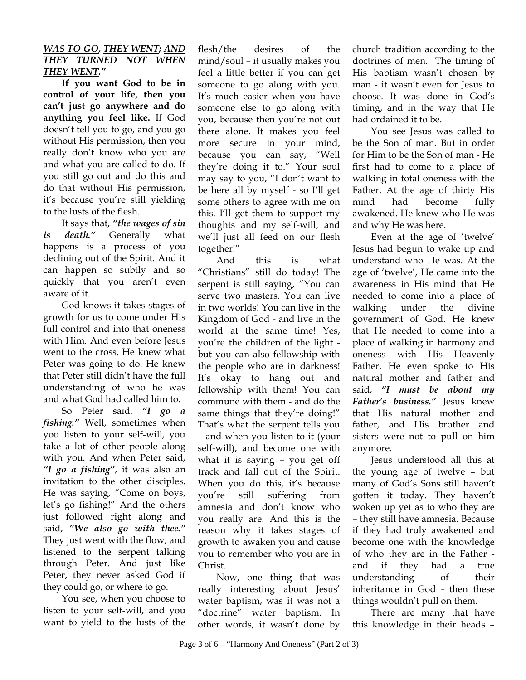## *WAS TO GO, THEY WENT; AND THEY TURNED NOT WHEN THEY WENT."*

**If you want God to be in control of your life, then you can't just go anywhere and do anything you feel like.** If God doesn't tell you to go, and you go without His permission, then you really don't know who you are and what you are called to do. If you still go out and do this and do that without His permission, it's because you're still yielding to the lusts of the flesh.

It says that, *"the wages of sin is death."* Generally what happens is a process of you declining out of the Spirit. And it can happen so subtly and so quickly that you aren't even aware of it.

God knows it takes stages of growth for us to come under His full control and into that oneness with Him. And even before Jesus went to the cross, He knew what Peter was going to do. He knew that Peter still didn't have the full understanding of who he was and what God had called him to.

So Peter said, *"I go a fishing."* Well, sometimes when you listen to your self-will, you take a lot of other people along with you. And when Peter said, *"I go a fishing"*, it was also an invitation to the other disciples. He was saying, "Come on boys, let's go fishing!" And the others just followed right along and said, *"We also go with thee."*  They just went with the flow, and listened to the serpent talking through Peter. And just like Peter, they never asked God if they could go, or where to go.

You see, when you choose to listen to your self-will, and you want to yield to the lusts of the

flesh/the desires of the mind/soul – it usually makes you feel a little better if you can get someone to go along with you. It's much easier when you have someone else to go along with you, because then you're not out there alone. It makes you feel more secure in your mind, because you can say, "Well they're doing it to." Your soul may say to you, "I don't want to be here all by myself - so I'll get some others to agree with me on this. I'll get them to support my thoughts and my self-will, and we'll just all feed on our flesh together!"

And this is what "Christians" still do today! The serpent is still saying, "You can serve two masters. You can live in two worlds! You can live in the Kingdom of God - and live in the world at the same time! Yes, you're the children of the light but you can also fellowship with the people who are in darkness! It's okay to hang out and fellowship with them! You can commune with them - and do the same things that they're doing!" That's what the serpent tells you – and when you listen to it (your self-will), and become one with what it is saying – you get off track and fall out of the Spirit. When you do this, it's because you're still suffering from amnesia and don't know who you really are. And this is the reason why it takes stages of growth to awaken you and cause you to remember who you are in Christ.

Now, one thing that was really interesting about Jesus' water baptism, was it was not a "doctrine" water baptism. In other words, it wasn't done by church tradition according to the doctrines of men. The timing of His baptism wasn't chosen by man - it wasn't even for Jesus to choose. It was done in God's timing, and in the way that He had ordained it to be.

You see Jesus was called to be the Son of man. But in order for Him to be the Son of man - He first had to come to a place of walking in total oneness with the Father. At the age of thirty His mind had become fully awakened. He knew who He was and why He was here.

Even at the age of 'twelve' Jesus had begun to wake up and understand who He was. At the age of 'twelve', He came into the awareness in His mind that He needed to come into a place of walking under the divine government of God. He knew that He needed to come into a place of walking in harmony and oneness with His Heavenly Father. He even spoke to His natural mother and father and said, *"I must be about my Father's business."* Jesus knew that His natural mother and father, and His brother and sisters were not to pull on him anymore.

Jesus understood all this at the young age of twelve – but many of God's Sons still haven't gotten it today. They haven't woken up yet as to who they are – they still have amnesia. Because if they had truly awakened and become one with the knowledge of who they are in the Father and if they had a true understanding of their inheritance in God - then these things wouldn't pull on them.

There are many that have this knowledge in their heads –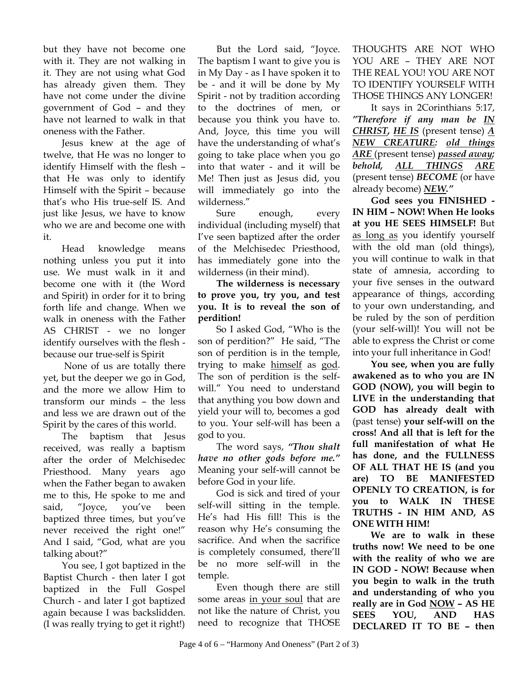but they have not become one with it. They are not walking in it. They are not using what God has already given them. They have not come under the divine government of God – and they have not learned to walk in that oneness with the Father.

Jesus knew at the age of twelve, that He was no longer to identify Himself with the flesh – that He was only to identify Himself with the Spirit – because that's who His true-self IS. And just like Jesus, we have to know who we are and become one with it.

Head knowledge means nothing unless you put it into use. We must walk in it and become one with it (the Word and Spirit) in order for it to bring forth life and change. When we walk in oneness with the Father AS CHRIST - we no longer identify ourselves with the flesh because our true-self is Spirit

 None of us are totally there yet, but the deeper we go in God, and the more we allow Him to transform our minds – the less and less we are drawn out of the Spirit by the cares of this world.

The baptism that Jesus received, was really a baptism after the order of Melchisedec Priesthood. Many years ago when the Father began to awaken me to this, He spoke to me and said, "Joyce, you've been baptized three times, but you've never received the right one!" And I said, "God, what are you talking about?"

You see, I got baptized in the Baptist Church - then later I got baptized in the Full Gospel Church - and later I got baptized again because I was backslidden. (I was really trying to get it right!)

But the Lord said, "Joyce. The baptism I want to give you is in My Day - as I have spoken it to be - and it will be done by My Spirit - not by tradition according to the doctrines of men, or because you think you have to. And, Joyce, this time you will have the understanding of what's going to take place when you go into that water - and it will be Me! Then just as Jesus did, you will immediately go into the wilderness."

Sure enough, every individual (including myself) that I've seen baptized after the order of the Melchisedec Priesthood, has immediately gone into the wilderness (in their mind).

**The wilderness is necessary to prove you, try you, and test you. It is to reveal the son of perdition!** 

So I asked God, "Who is the son of perdition?" He said, "The son of perdition is in the temple, trying to make himself as god. The son of perdition is the selfwill." You need to understand that anything you bow down and yield your will to, becomes a god to you. Your self-will has been a god to you.

The word says, *"Thou shalt have no other gods before me."* Meaning your self-will cannot be before God in your life.

God is sick and tired of your self-will sitting in the temple. He's had His fill! This is the reason why He's consuming the sacrifice. And when the sacrifice is completely consumed, there'll be no more self-will in the temple.

Even though there are still some areas in your soul that are not like the nature of Christ, you need to recognize that THOSE

THOUGHTS ARE NOT WHO YOU ARE – THEY ARE NOT THE REAL YOU! YOU ARE NOT TO IDENTIFY YOURSELF WITH THOSE THINGS ANY LONGER!

It says in 2Corinthians 5:17, *"Therefore if any man be IN CHRIST, HE IS* (present tense) *A NEW CREATURE: old things ARE* (present tense) *passed away; behold, ALL THINGS ARE* (present tense) *BECOME* (or have already become) *NEW."* 

**God sees you FINISHED - IN HIM – NOW! When He looks at you HE SEES HIMSELF!** But as long as you identify yourself with the old man (old things), you will continue to walk in that state of amnesia, according to your five senses in the outward appearance of things, according to your own understanding, and be ruled by the son of perdition (your self-will)! You will not be able to express the Christ or come into your full inheritance in God!

**You see, when you are fully awakened as to who you are IN GOD (NOW), you will begin to LIVE in the understanding that GOD has already dealt with**  (past tense) **your self-will on the cross! And all that is left for the full manifestation of what He has done, and the FULLNESS OF ALL THAT HE IS (and you are) TO BE MANIFESTED OPENLY TO CREATION, is for you to WALK IN THESE TRUTHS - IN HIM AND, AS ONE WITH HIM!** 

**We are to walk in these truths now! We need to be one with the reality of who we are IN GOD - NOW! Because when you begin to walk in the truth and understanding of who you really are in God NOW – AS HE SEES YOU, AND HAS DECLARED IT TO BE – then**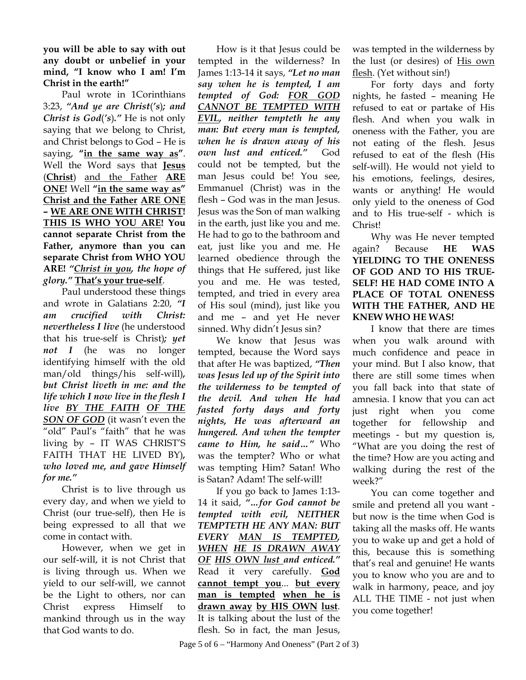**you will be able to say with out any doubt or unbelief in your mind, "I know who I am! I'm Christ in the earth!"**

Paul wrote in 1Corinthians 3:23, *"And ye are Christ*(*'s*)*; and Christ is God*(*'s*)*."* He is not only saying that we belong to Christ, and Christ belongs to God – He is saying, **"in the same way as"**. Well the Word says that **Jesus** (**Christ**) and the Father **ARE ONE!** Well **"in the same way as" Christ and the Father ARE ONE – WE ARE ONE WITH CHRIST! THIS IS WHO YOU ARE! You cannot separate Christ from the Father, anymore than you can separate Christ from WHO YOU ARE!** *"Christ in you, the hope of glory."* **That's your true-self**.

Paul understood these things and wrote in Galatians 2:20, *"I am crucified with Christ: nevertheless I live* (he understood that his true-self is Christ)*; yet not* I (he was no longer identifying himself with the old man/old things/his self-will)*, but Christ liveth in me: and the life which I now live in the flesh I live BY THE FAITH OF THE SON OF GOD* (it wasn't even the "old" Paul's "faith" that he was living by – IT WAS CHRIST'S FAITH THAT HE LIVED BY)*, who loved me, and gave Himself for me."*

Christ is to live through us every day, and when we yield to Christ (our true-self), then He is being expressed to all that we come in contact with.

However, when we get in our self-will, it is not Christ that is living through us. When we yield to our self-will, we cannot be the Light to others, nor can Christ express Himself to mankind through us in the way that God wants to do.

How is it that Jesus could be tempted in the wilderness? In James 1:13-14 it says, *"Let no man say when he is tempted, I am tempted of God: FOR GOD CANNOT BE TEMPTED WITH EVIL, neither tempteth he any man: But every man is tempted, when he is drawn away of his own lust and enticed."* God could not be tempted, but the man Jesus could be! You see, Emmanuel (Christ) was in the flesh – God was in the man Jesus. Jesus was the Son of man walking in the earth, just like you and me. He had to go to the bathroom and eat, just like you and me. He learned obedience through the things that He suffered, just like you and me. He was tested, tempted, and tried in every area of His soul (mind), just like you and me – and yet He never sinned. Why didn't Jesus sin?

We know that Jesus was tempted, because the Word says that after He was baptized, *"Then was Jesus led up of the Spirit into the wilderness to be tempted of the devil. And when He had fasted forty days and forty nights, He was afterward an hungered. And when the tempter came to Him, he said…"* Who was the tempter? Who or what was tempting Him? Satan! Who is Satan? Adam! The self-will!

If you go back to James 1:13- 14 it said, *"…for God cannot be tempted with evil, NEITHER TEMPTETH HE ANY MAN: BUT EVERY MAN IS TEMPTED, WHEN HE IS DRAWN AWAY OF HIS OWN lust and enticed."* Read it very carefully. **God cannot tempt you**... **but every man is tempted when he is drawn away by HIS OWN lust**. It is talking about the lust of the flesh. So in fact, the man Jesus,

was tempted in the wilderness by the lust (or desires) of His own flesh. (Yet without sin!)

For forty days and forty nights, he fasted – meaning He refused to eat or partake of His flesh. And when you walk in oneness with the Father, you are not eating of the flesh. Jesus refused to eat of the flesh (His self-will). He would not yield to his emotions, feelings, desires, wants or anything! He would only yield to the oneness of God and to His true-self - which is Christ!

Why was He never tempted again? Because **HE WAS YIELDING TO THE ONENESS OF GOD AND TO HIS TRUE-SELF! HE HAD COME INTO A PLACE OF TOTAL ONENESS WITH THE FATHER, AND HE KNEW WHO HE WAS!**

I know that there are times when you walk around with much confidence and peace in your mind. But I also know, that there are still some times when you fall back into that state of amnesia. I know that you can act just right when you come together for fellowship and meetings - but my question is, "What are you doing the rest of the time? How are you acting and walking during the rest of the week?"

You can come together and smile and pretend all you want but now is the time when God is taking all the masks off. He wants you to wake up and get a hold of this, because this is something that's real and genuine! He wants you to know who you are and to walk in harmony, peace, and joy ALL THE TIME - not just when you come together!